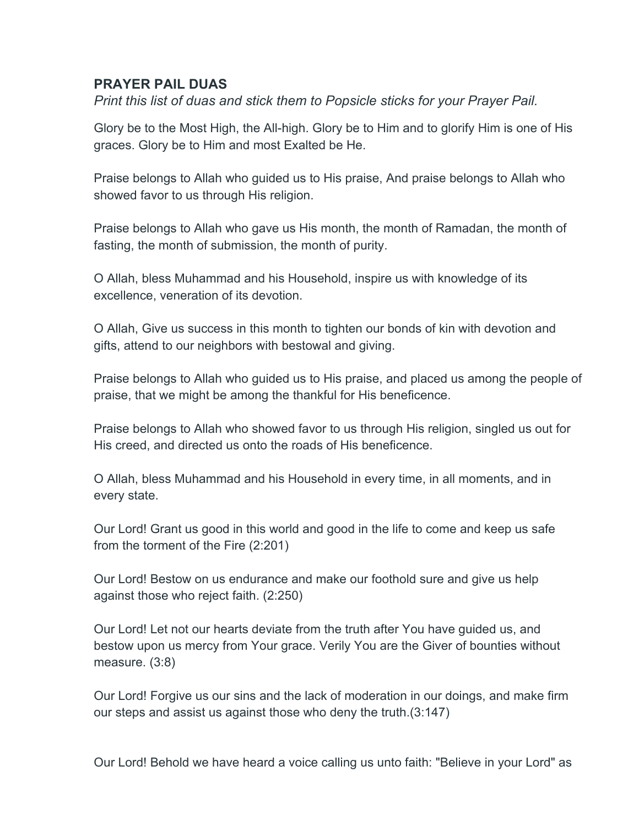## **PRAYER PAIL DUAS**

*Print this list of duas and stick them to Popsicle sticks for your Prayer Pail.* 

Glory be to the Most High, the All-high. Glory be to Him and to glorify Him is one of His graces. Glory be to Him and most Exalted be He.

Praise belongs to Allah who guided us to His praise, And praise belongs to Allah who showed favor to us through His religion.

Praise belongs to Allah who gave us His month, the month of Ramadan, the month of fasting, the month of submission, the month of purity.

O Allah, bless Muhammad and his Household, inspire us with knowledge of its excellence, veneration of its devotion.

O Allah, Give us success in this month to tighten our bonds of kin with devotion and gifts, attend to our neighbors with bestowal and giving.

Praise belongs to Allah who guided us to His praise, and placed us among the people of praise, that we might be among the thankful for His beneficence.

Praise belongs to Allah who showed favor to us through His religion, singled us out for His creed, and directed us onto the roads of His beneficence.

O Allah, bless Muhammad and his Household in every time, in all moments, and in every state.

Our Lord! Grant us good in this world and good in the life to come and keep us safe from the torment of the Fire (2:201)

Our Lord! Bestow on us endurance and make our foothold sure and give us help against those who reject faith. (2:250)

Our Lord! Let not our hearts deviate from the truth after You have guided us, and bestow upon us mercy from Your grace. Verily You are the Giver of bounties without measure. (3:8)

Our Lord! Forgive us our sins and the lack of moderation in our doings, and make firm our steps and assist us against those who deny the truth.(3:147)

Our Lord! Behold we have heard a voice calling us unto faith: "Believe in your Lord" as